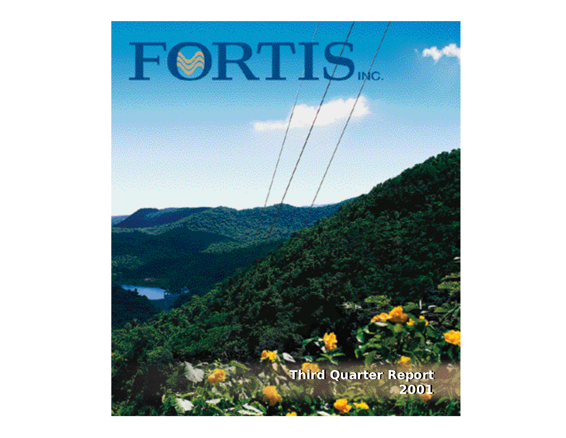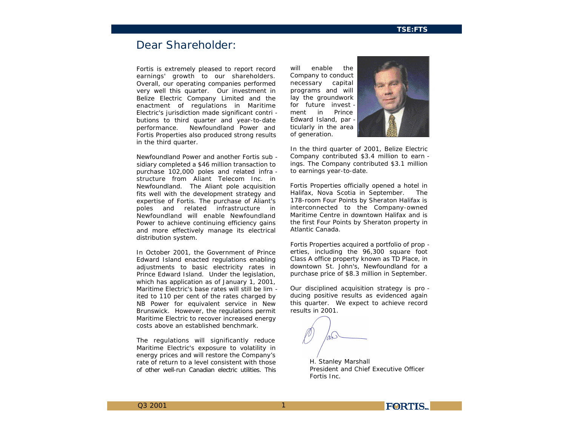# *Dear Shareholder:*

*Fortis is extremely pleased to report record earnings' growth to our shareholders. Overall, our operating companies performed very well this quarter. Our investment in Belize Electric Company Limited and the enactment of regulations in Maritime Electric's jurisdiction made significant contri butions to third quarter and year-to-date performance. Newfoundland Power and Fortis Properties also produced strong results in the third quarter.* 

*Newfoundland Power and another Fortis sub sidiary completed a \$46 million transaction to purchase 102,000 poles and related infra structure from Aliant Telecom Inc. in Newfoundland. The Aliant pole acquisition fits well with the development strategy and expertise of Fortis. The purchase of Aliant's poles and related infrastructure in Newfoundland will enable Newfoundland Power to achieve continuing efficiency gains and more effectively manage its electrical distribution system.*

*In October 2001, the Government of Prince Edward Island enacted regulations enabling adjustments to basic electricity rates in Prince Edward Island. Under the legislation, which has application as of January 1, 2001, Maritime Electric's base rates will still be lim ited to 110 per cent of the rates charged by NB Power for equivalent service in New Brunswick. However, the regulations permit Maritime Electric to recover increased energy costs above an established benchmark.*

*The regulations will significantly reduce Maritime Electric's exposure to volatility in energy prices and will restore the Company's rate of return to a level consistent with those of other well-run Canadian electric utilities. This*

*will enable the Company to conduct necessary capital programs and will lay the groundwork for future invest ment in Prince Edward Island, par ticularly in the area of generation.* 



*In the third quarter of 2001, Belize Electric Company contributed \$3.4 million to earn ings. The Company contributed \$3.1 million to earnings year-to-date.*

*Fortis Properties officially opened a hotel in Halifax, Nova Scotia in September. The 178-room Four Points by Sheraton Halifax is interconnected to the Company-owned Maritime Centre in downtown Halifax and is the first Four Points by Sheraton property in Atlantic Canada.*

*Fortis Properties acquired a portfolio of prop erties, including the 96,300 square foot Class A office property known as TD Place, in downtown St. John's, Newfoundland for a purchase price of \$8.3 million in September.* 

*Our disciplined acquisition strategy is pro ducing positive results as evidenced again this quarter. We expect to achieve record results in 2001.*

1

*H. Stanley Marshall President and Chief Executive Officer Fortis Inc.*

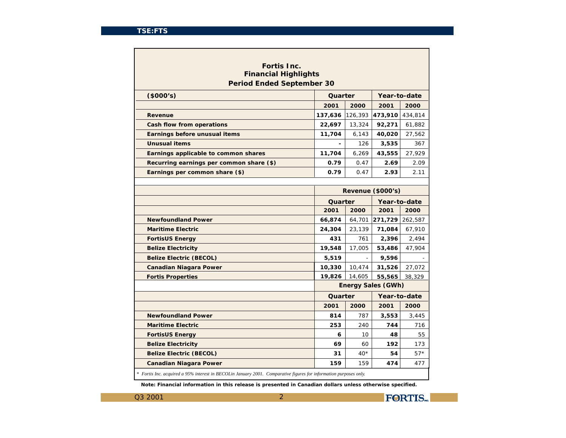| <b>Fortis Inc.</b><br><b>Financial Highlights</b> |         |         |                           |         |
|---------------------------------------------------|---------|---------|---------------------------|---------|
| <b>Period Ended September 30</b><br>(8000's)      | Quarter |         | Year-to-date              |         |
|                                                   | 2001    | 2000    | 2001                      | 2000    |
| <b>Revenue</b>                                    | 137,636 | 126,393 | 473,910                   | 434,814 |
| <b>Cash flow from operations</b>                  | 22,697  | 13,324  | 92,271                    | 61,882  |
| <b>Earnings before unusual items</b>              | 11,704  | 6,143   | 40,020                    | 27,562  |
| <b>Unusual items</b>                              |         | 126     | 3,535                     | 367     |
| <b>Earnings applicable to common shares</b>       | 11,704  | 6,269   | 43,555                    | 27,929  |
| Recurring earnings per common share (\$)          | 0.79    | 0.47    | 2.69                      | 2.09    |
| Earnings per common share (\$)                    | 0.79    | 0.47    | 2.93                      | 2.11    |
|                                                   |         |         |                           |         |
|                                                   |         |         | Revenue (\$000's)         |         |
|                                                   | Quarter |         | Year-to-date              |         |
|                                                   | 2001    | 2000    | 2001                      | 2000    |
| <b>Newfoundland Power</b>                         | 66,874  | 64,701  | 271,729                   | 262,587 |
| <b>Maritime Electric</b>                          | 24,304  | 23,139  | 71,084                    | 67,910  |
| <b>FortisUS Energy</b>                            | 431     | 761     | 2,396                     | 2,494   |
| <b>Belize Electricity</b>                         | 19,548  | 17,005  | 53,486                    | 47,904  |
| <b>Belize Electric (BECOL)</b>                    | 5,519   |         | 9,596                     |         |
| <b>Canadian Niagara Power</b>                     | 10,330  | 10,474  | 31,526                    | 27,072  |
| <b>Fortis Properties</b>                          | 19.826  | 14.605  | 55,565                    | 38.329  |
|                                                   |         |         | <b>Energy Sales (GWh)</b> |         |
|                                                   | Quarter |         | Year-to-date              |         |
|                                                   | 2001    | 2000    | 2001                      | 2000    |
| <b>Newfoundland Power</b>                         | 814     | 787     | 3,553                     | 3,445   |
| <b>Maritime Electric</b>                          | 253     | 240     | 744                       | 716     |
| <b>FortisUS Energy</b>                            | 6       | 10      | 48                        | 55      |
| <b>Belize Electricity</b>                         | 69      | 60      | 192                       | 173     |
| <b>Belize Electric (BECOL)</b>                    | 31      | $40*$   | 54                        | $57*$   |
| <b>Canadian Niagara Power</b>                     | 159     | 159     | 474                       | 477     |

*Note: Financial information in this release is presented in Canadian dollars unless otherwise specified.*

$$
Q3\ 2001 \hspace{2.5cm} 2
$$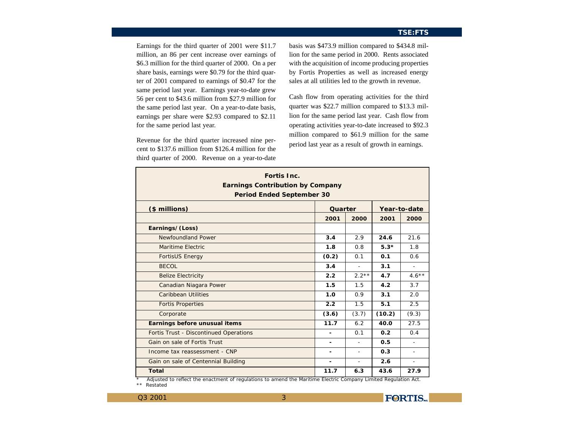Earnings for the third quarter of 2001 were \$11.7 million, an 86 per cent increase over earnings of \$6.3 million for the third quarter of 2000. On a per share basis, earnings were \$0.79 for the third quarter of 2001 compared to earnings of \$0.47 for the same period last year. Earnings year-to-date grew 56 per cent to \$43.6 million from \$27.9 million for the same period last year. On a year-to-date basis, earnings per share were \$2.93 compared to \$2.11 for the same period last year.

Revenue for the third quarter increased nine percent to \$137.6 million from \$126.4 million for the third quarter of 2000. Revenue on a year-to-date

basis was \$473.9 million compared to \$434.8 million for the same period in 2000. Rents associated with the acquisition of income producing properties by Fortis Properties as well as increased energy sales at all utilities led to the growth in revenue.

Cash flow from operating activities for the third quarter was \$22.7 million compared to \$13.3 million for the same period last year. Cash flow from operating activities year-to-date increased to \$92.3 million compared to \$61.9 million for the same period last year as a result of growth in earnings.

| <b>Fortis Inc.</b><br><b>Earnings Contribution by Company</b><br><b>Period Ended September 30</b> |         |         |        |              |
|---------------------------------------------------------------------------------------------------|---------|---------|--------|--------------|
| (\$ millions)                                                                                     | Quarter |         |        | Year-to-date |
|                                                                                                   | 2001    | 2000    | 2001   | 2000         |
| Earnings/(Loss)                                                                                   |         |         |        |              |
| Newfoundland Power                                                                                | 3.4     | 2.9     | 24.6   | 21.6         |
| <b>Maritime Electric</b>                                                                          | 1.8     | 0.8     | $5.3*$ | 1.8          |
| <b>FortisUS Energy</b>                                                                            | (0.2)   | 0.1     | 0.1    | 0.6          |
| BECOL                                                                                             | 3.4     | $\sim$  | 3.1    |              |
| <b>Belize Electricity</b>                                                                         | 2.2     | $2.2**$ | 4.7    | $4.6***$     |
| <b>Canadian Niagara Power</b>                                                                     | 1.5     | 1.5     | 4.2    | 3.7          |
| <b>Caribbean Utilities</b>                                                                        | 1.0     | 0.9     | 3.1    | 2.0          |
| <b>Fortis Properties</b>                                                                          | 2.2     | 1.5     | 5.1    | 2.5          |
| Corporate                                                                                         | (3.6)   | (3.7)   | (10.2) | (9.3)        |
| <b>Earnings before unusual items</b>                                                              | 11.7    | 6.2     | 40.0   | 27.5         |
| <b>Fortis Trust - Discontinued Operations</b>                                                     | ۰       | 0.1     | 0.2    | 0.4          |
| <b>Gain on sale of Fortis Trust</b>                                                               |         | ٠       | 0.5    |              |
| Income tax reassessment - CNP                                                                     | ٠       | ٠       | 0.3    | ۰            |
| <b>Gain on sale of Centennial Building</b>                                                        | ۰       | ä,      | 2.6    | ÷.           |
| <b>Total</b>                                                                                      | 11.7    | 6.3     | 43.6   | 27.9         |

*\* Adjusted to reflect the enactment of regulations to amend the Maritime Electric Company Limited Regulation Act.*

3

Q3 2001 *\*\* Restated*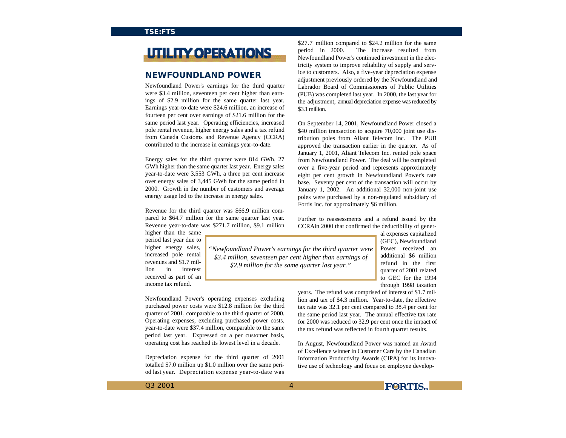# **UTILITY OPERATIONS**

## **NEWFOUNDLAND POWER**

Newfoundland Power's earnings for the third quarter were \$3.4 million, seventeen per cent higher than earnings of \$2.9 million for the same quarter last year. Earnings year-to-date were \$24.6 million, an increase of fourteen per cent over earnings of \$21.6 million for the same period last year. Operating efficiencies, increased pole rental revenue, higher energy sales and a tax refund from Canada Customs and Revenue Agency (CCRA) contributed to the increase in earnings year-to-date.

Energy sales for the third quarter were 814 GWh, 27 GWh higher than the same quarter last year. Energy sales year-to-date were 3,553 GWh, a three per cent increase over energy sales of 3,445 GWh for the same period in 2000. Growth in the number of customers and average energy usage led to the increase in energy sales.

Revenue for the third quarter was \$66.9 million compared to \$64.7 million for the same quarter last year. Revenue year-to-date was \$271.7 million, \$9.1 million

higher than the same period last year due to higher energy sales, increased pole rental revenues and \$1.7 million in interest received as part of an income tax refund.

\$27.7 million compared to \$24.2 million for the same period in 2000. The increase resulted from Newfoundland Power's continued investment in the electricity system to improve reliability of supply and service to customers. Also, a five-year depreciation expense adjustment previously ordered by the Newfoundland and Labrador Board of Commissioners of Public Utilities (PUB) was completed last year. In 2000, the last year for the adjustment, annual depreciation expense was reduced by \$3.1 million.

On September 14, 2001, Newfoundland Power closed a \$40 million transaction to acquire 70,000 joint use distribution poles from Aliant Telecom Inc. The PUB approved the transaction earlier in the quarter. As of January 1, 2001, Aliant Telecom Inc. rented pole space from Newfoundland Power. The deal will be completed over a five-year period and represents approximately eight per cent growth in Newfoundland Power's rate base. Seventy per cent of the transaction will occur by January 1, 2002. An additional 32,000 non-joint use poles were purchased by a non-regulated subsidiary of Fortis Inc. for approximately \$6 million.

Further to reassessments and a refund issued by the CCRAin 2000 that confirmed the deductibility of gener-

> al expenses capitalized (GEC), Newfoundland Power received an additional \$6 million refund in the first quarter of 2001 related to GEC for the 1994 through 1998 taxation

Newfoundland Power's operating expenses excluding purchased power costs were \$12.8 million for the third quarter of 2001, comparable to the third quarter of 2000. Operating expenses, excluding purchased power costs, year-to-date were \$37.4 million, comparable to the same period last year. Expressed on a per customer basis, operating cost has reached its lowest level in a decade.

Depreciation expense for the third quarter of 2001 totalled \$7.0 million up \$1.0 million over the same period last year. Depreciation expense year-to-date was

years. The refund was comprised of interest of \$1.7 million and tax of \$4.3 million. Year-to-date, the effective tax rate was 32.1 per cent compared to 38.4 per cent for the same period last year. The annual effective tax rate for 2000 was reduced to 32.9 per cent once the impact of the tax refund was reflected in fourth quarter results.

In August, Newfoundland Power was named an Award of Excellence winner in Customer Care by the Canadian Information Productivity Awards (CIPA) for its innovative use of technology and focus on employee develop-

 $Q3\,2001$  4



*"Newfoundland Power's earnings for the third quarter were \$3.4 million, seventeen per cent higher than earnings of \$2.9 million for the same quarter last year."*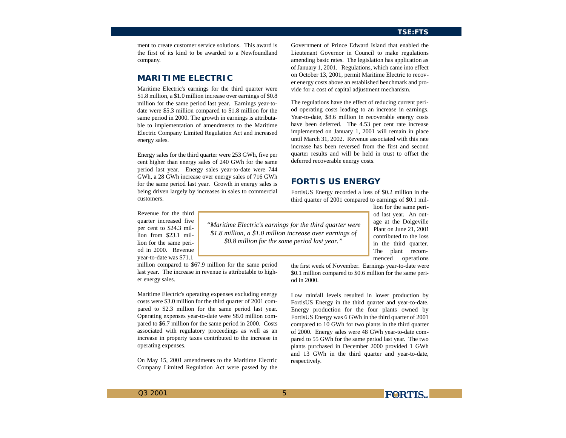ment to create customer service solutions. This award is the first of its kind to be awarded to a Newfoundland company.

## **MARITIME ELECTRIC**

Maritime Electric's earnings for the third quarter were \$1.8 million, a \$1.0 million increase over earnings of \$0.8 million for the same period last year. Earnings year-todate were \$5.3 million compared to \$1.8 million for the same period in 2000. The growth in earnings is attributable to implementation of amendments to the Maritime Electric Company Limited Regulation Act and increased energy sales.

Energy sales for the third quarter were 253 GWh, five per cent higher than energy sales of 240 GWh for the same period last year. Energy sales year-to-date were 744 GWh, a 28 GWh increase over energy sales of 716 GWh for the same period last year. Growth in energy sales is being driven largely by increases in sales to commercial customers.

Lieutenant Governor in Council to make regulations amending basic rates. The legislation has application as of January 1, 2001. Regulations, which came into effect on October 13, 2001, permit Maritime Electric to recover energy costs above an established benchmark and provide for a cost of capital adjustment mechanism.

Government of Prince Edward Island that enabled the

The regulations have the effect of reducing current period operating costs leading to an increase in earnings. Year-to-date, \$8.6 million in recoverable energy costs have been deferred. The 4.53 per cent rate increase implemented on January 1, 2001 will remain in place until March 31, 2002. Revenue associated with this rate increase has been reversed from the first and second quarter results and will be held in trust to offset the deferred recoverable energy costs.

## **FORTIS US ENERGY**

FortisUS Energy recorded a loss of \$0.2 million in the third quarter of 2001 compared to earnings of \$0.1 mil-

Revenue for the third quarter increased five per cent to \$24.3 million from \$23.1 million for the same period in 2000. Revenue year-to-date was \$71.1

million compared to \$67.9 million for the same period last year. The increase in revenue is attributable to higher energy sales.

Maritime Electric's operating expenses excluding energy costs were \$3.0 million for the third quarter of 2001 compared to \$2.3 million for the same period last year. Operating expenses year-to-date were \$8.0 million compared to \$6.7 million for the same period in 2000. Costs associated with regulatory proceedings as well as an increase in property taxes contributed to the increase in operating expenses.

On May 15, 2001 amendments to the Maritime Electric Company Limited Regulation Act were passed by the

*"Maritime Electric's earnings for the third quarter were \$1.8 million, a \$1.0 million increase over earnings of \$0.8 million for the same period last year."*

5

lion for the same period last year. An outage at the Dolgeville Plant on June 21, 2001 contributed to the loss in the third quarter. The plant recommenced operations

the first week of November. Earnings year-to-date were \$0.1 million compared to \$0.6 million for the same period in 2000.

Low rainfall levels resulted in lower production by FortisUS Energy in the third quarter and year-to-date. Energy production for the four plants owned by FortisUS Energy was 6 GWh in the third quarter of 2001 compared to 10 GWh for two plants in the third quarter of 2000. Energy sales were 48 GWh year-to-date compared to 55 GWh for the same period last year. The two plants purchased in December 2000 provided 1 GWh and 13 GWh in the third quarter and year-to-date, respectively.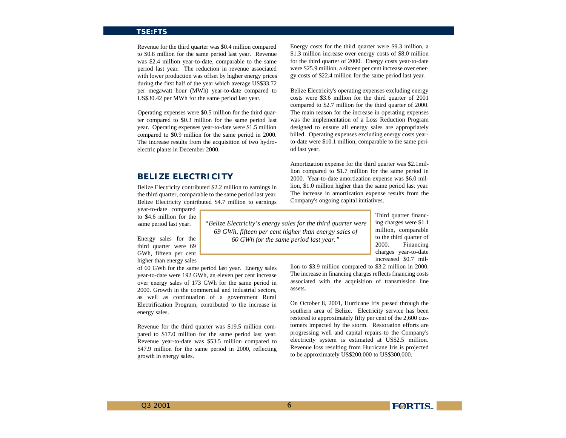Revenue for the third quarter was \$0.4 million compared to \$0.8 million for the same period last year. Revenue was \$2.4 million year-to-date, comparable to the same period last year. The reduction in revenue associated with lower production was offset by higher energy prices during the first half of the year which average US\$33.72 per megawatt hour (MWh) year-to-date compared to US\$30.42 per MWh for the same period last year.

Operating expenses were \$0.5 million for the third quarter compared to \$0.3 million for the same period last year. Operating expenses year-to-date were \$1.5 million compared to \$0.9 million for the same period in 2000. The increase results from the acquisition of two hydroelectric plants in December 2000.

## **BELIZE ELECTRICITY**

Belize Electricity contributed \$2.2 million to earnings in the third quarter, comparable to the same period last year. Belize Electricity contributed \$4.7 million to earnings

year-to-date compared to \$4.6 million for the same period last year.

Energy sales for the third quarter were 69 GWh, fifteen per cent higher than energy sales

of 60 GWh for the same period last year. Energy sales year-to-date were 192 GWh, an eleven per cent increase over energy sales of 173 GWh for the same period in 2000. Growth in the commercial and industrial sectors, as well as continuation of a government Rural Electrification Program, contributed to the increase in energy sales.

Revenue for the third quarter was \$19.5 million compared to \$17.0 million for the same period last year. Revenue year-to-date was \$53.5 million compared to \$47.9 million for the same period in 2000, reflecting growth in energy sales.

Energy costs for the third quarter were \$9.3 million, a \$1.3 million increase over energy costs of \$8.0 million for the third quarter of 2000. Energy costs year-to-date were \$25.9 million, a sixteen per cent increase over energy costs of \$22.4 million for the same period last year.

Belize Electricity's operating expenses excluding energy costs were \$3.6 million for the third quarter of 2001 compared to \$2.7 million for the third quarter of 2000. The main reason for the increase in operating expenses was the implementation of a Loss Reduction Program designed to ensure all energy sales are appropriately billed. Operating expenses excluding energy costs yearto-date were \$10.1 million, comparable to the same period last year.

Amortization expense for the third quarter was \$2.1million compared to \$1.7 million for the same period in 2000. Year-to-date amortization expense was \$6.0 million, \$1.0 million higher than the same period last year. The increase in amortization expense results from the Company's ongoing capital initiatives.

> Third quarter financing charges were \$1.1 million, comparable to the third quarter of 2000. Financing charges year-to-date increased \$0.7 mil-

lion to \$3.9 million compared to \$3.2 million in 2000. The increase in financing charges reflects financing costs associated with the acquisition of transmission line assets.

On October 8, 2001, Hurricane Iris passed through the southern area of Belize. Electricity service has been restored to approximately fifty per cent of the 2,600 customers impacted by the storm. Restoration efforts are progressing well and capital repairs to the Company's electricity system is estimated at US\$2.5 million. Revenue loss resulting from Hurricane Iris is projected to be approximately US\$200,000 to US\$300,000.



*"Belize Electricity's energy sales for the third quarter were 69 GWh, fifteen per cent higher than energy sales of 60 GWh for the same period last year."*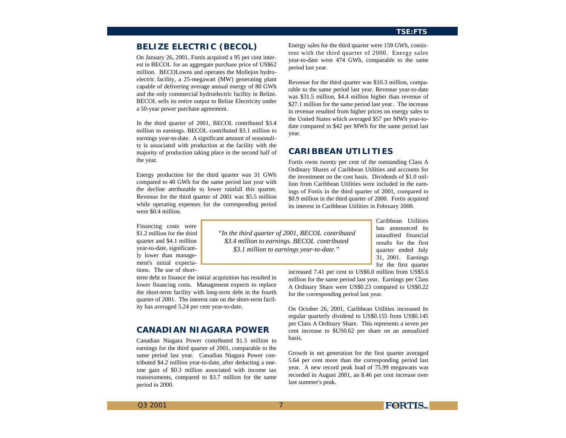## **BELIZE ELECTRIC (BECOL)**

On January 26, 2001, Fortis acquired a 95 per cent interest in BECOL for an aggregate purchase price of US\$62 million. BECOLowns and operates the Mollejon hydroelectric facility, a 25-megawatt (MW) generating plant capable of delivering average annual energy of 80 GWh and the only commercial hydroelectric facility in Belize. BECOL sells its entire output to Belize Electricity under a 50-year power purchase agreement.

In the third quarter of 2001, BECOL contributed \$3.4 million to earnings. BECOL contributed \$3.1 million to earnings year-to-date. A significant amount of seasonality is associated with production at the facility with the majority of production taking place in the second half of the year.

Energy production for the third quarter was 31 GWh compared to 40 GWh for the same period last year with the decline attributable to lower rainfall this quarter. Revenue for the third quarter of 2001 was \$5.5 million while operating expenses for the corresponding period were \$0.4 million.

Financing costs were \$1.2 million for the third quarter and \$4.1 million year-to-date, significantly lower than management's initial expectations. The use of short-

term debt to finance the initial acquisition has resulted in lower financing costs. Management expects to replace the short-term facility with long-term debt in the fourth quarter of 2001. The interest rate on the short-term facility has averaged 5.24 per cent year-to-date.

## **CANADIAN NIAGARA POWER**

Canadian Niagara Power contributed \$1.5 million to earnings for the third quarter of 2001, comparable to the same period last year. Canadian Niagara Power contributed \$4.2 million year-to-date, after deducting a oneime gain of \$0.3 million associated with income tax reassessments, compared to \$3.7 million for the same period in 2000.

Energy sales for the third quarter were 159 GWh, consistent with the third quarter of 2000. Energy sales year-to-date were 474 GWh, comparable to the same period last year.

Revenue for the third quarter was \$10.3 million, comparable to the same period last year. Revenue year-to-date was \$31.5 million, \$4.4 million higher than revenue of \$27.1 million for the same period last year. The increase in revenue resulted from higher prices on energy sales to the United States which averaged \$57 per MWh year-todate compared to \$42 per MWh for the same period last year.

## **CARIBBEAN UTILITIES**

Fortis owns twenty per cent of the outstanding Class A Ordinary Shares of Caribbean Utilities and accounts for the investment on the cost basis. Dividends of \$1.0 million from Caribbean Utilities were included in the earnings of Fortis in the third quarter of 2001, compared to \$0.9 million in the third quarter of 2000. Fortis acquired its interest in Caribbean Utilities in February 2000.

*"In the third quarter of 2001, BECOL contributed \$3.4 million to earnings. BECOL contributed \$3.1 million to earnings year-to-date."*

Caribbean Utilities has announced its unaudited financial results for the first quarter ended July 31, 2001. Earnings for the first quarter

increased 7.41 per cent to US\$6.0 million from US\$5.6 million for the same period last year. Earnings per Class A Ordinary Share were US\$0.23 compared to US\$0.22 for the corresponding period last year.

On October 26, 2001, Caribbean Utilities increased its regular quarterly dividend to US\$0.155 from US\$0.145 per Class A Ordinary Share. This represents a seven per cent increase to \$US0.62 per share on an annualized basis.

Growth in net generation for the first quarter averaged 5.64 per cent more than the corresponding period last year. A new record peak load of 75.99 megawatts was recorded in August 2001, an 8.46 per cent increase over last summer's peak.

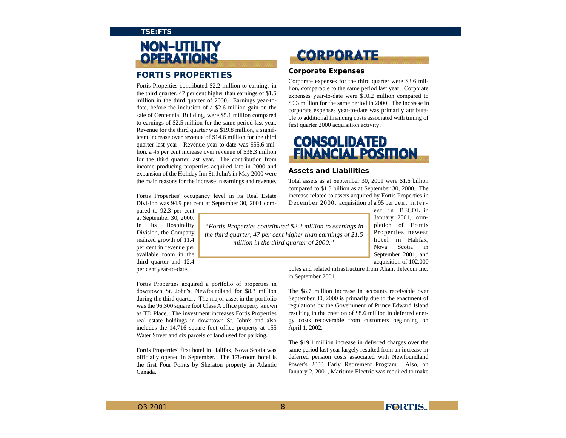# NON-UTILITY **OPERATIONS**

## **FORTIS PROPERTIES**

Fortis Properties contributed \$2.2 million to earnings in the third quarter, 47 per cent higher than earnings of \$1.5 million in the third quarter of 2000. Earnings year-todate, before the inclusion of a \$2.6 million gain on the sale of Centennial Building, were \$5.1 million compared to earnings of \$2.5 million for the same period last year. Revenue for the third quarter was \$19.8 million, a significant increase over revenue of \$14.6 million for the third quarter last year. Revenue year-to-date was \$55.6 million, a 45 per cent increase over revenue of \$38.3 million for the third quarter last year. The contribution from income producing properties acquired late in 2000 and expansion of the Holiday Inn St. John's in May 2000 were the main reasons for the increase in earnings and revenue.

Fortis Properties' occupancy level in its Real Estate Division was 94.9 per cent at September 30, 2001 com-

pared to 92.3 per cent at September 30, 2000. In its Hospitality Division, the Company realized growth of 11.4 per cent in revenue per available room in the third quarter and 12.4 per cent year-to-date.

Fortis Properties acquired a portfolio of properties in downtown St. John's, Newfoundland for \$8.3 million during the third quarter. The major asset in the portfolio was the 96,300 square foot Class A office property known as TD Place. The investment increases Fortis Properties real estate holdings in downtown St. John's and also includes the 14,716 square foot office property at 155 Water Street and six parcels of land used for parking.

Fortis Properties' first hotel in Halifax, Nova Scotia was officially opened in September. The 178-room hotel is the first Four Points by Sheraton property in Atlantic Canada.

# **CORPORATE**

## **Corporate Expenses**

Corporate expenses for the third quarter were \$3.6 million, comparable to the same period last year. Corporate expenses year-to-date were \$10.2 million compared to \$9.3 million for the same period in 2000. The increase in corporate expenses year-to-date was primarily attributable to additional financing costs associated with timing of first quarter 2000 acquisition activity.

# **CONSOLIDATED** FINANCIAL POSITION

### **Assets and Liabilities**

Total assets as at September 30, 2001 were \$1.6 billion compared to \$1.3 billion as at September 30, 2000. The increase related to assets acquired by Fortis Properties in December 2000, acquisition of a 95 per cent inter-

> est in BECOL in January 2001, completion of Fortis Properties' newest hotel in Halifax, Nova Scotia in September 2001, and acquisition of 102,000

poles and related infrastructure from Aliant Telecom Inc. in September 2001.

The \$8.7 million increase in accounts receivable over September 30, 2000 is primarily due to the enactment of regulations by the Government of Prince Edward Island resulting in the creation of \$8.6 million in deferred energy costs recoverable from customers beginning on April 1, 2002.

The \$19.1 million increase in deferred charges over the same period last year largely resulted from an increase in deferred pension costs associated with Newfoundland Power's 2000 Early Retirement Program. Also, on January 2, 2001, Maritime Electric was required to make



*"Fortis Properties contributed \$2.2 million to earnings in the third quarter, 47 per cent higher than earnings of \$1.5 million in the third quarter of 2000."*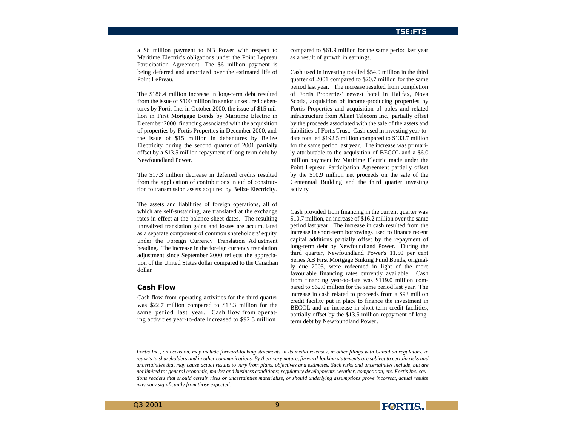a \$6 million payment to NB Power with respect to Maritime Electric's obligations under the Point Lepreau Participation Agreement. The \$6 million payment is being deferred and amortized over the estimated life of Point LePreau.

The \$186.4 million increase in long-term debt resulted from the issue of \$100 million in senior unsecured debentures by Fortis Inc. in October 2000, the issue of \$15 million in First Mortgage Bonds by Maritime Electric in December 2000, financing associated with the acquisition of properties by Fortis Properties in December 2000, and the issue of \$15 million in debentures by Belize Electricity during the second quarter of 2001 partially offset by a \$13.5 million repayment of long-term debt by Newfoundland Power.

The \$17.3 million decrease in deferred credits resulted from the application of contributions in aid of construction to transmission assets acquired by Belize Electricity.

The assets and liabilities of foreign operations, all of which are self-sustaining, are translated at the exchange rates in effect at the balance sheet dates. The resulting unrealized translation gains and losses are accumulated as a separate component of common shareholders' equity under the Foreign Currency Translation Adjustment heading. The increase in the foreign currency translation adjustment since September 2000 reflects the appreciation of the United States dollar compared to the Canadian dollar.

### **Cash Flow**

Cash flow from operating activities for the third quarter was \$22.7 million compared to \$13.3 million for the same period last year. Cash flow from operating activities year-to-date increased to \$92.3 million

compared to \$61.9 million for the same period last year as a result of growth in earnings.

Cash used in investing totalled \$54.9 million in the third quarter of 2001 compared to \$20.7 million for the same period last year. The increase resulted from completion of Fortis Properties' newest hotel in Halifax, Nova Scotia, acquisition of income-producing properties by Fortis Properties and acquisition of poles and related infrastructure from Aliant Telecom Inc., partially offset by the proceeds associated with the sale of the assets and liabilities of Fortis Trust. Cash used in investing year-todate totalled \$192.5 million compared to \$133.7 million for the same period last year. The increase was primarily attributable to the acquisition of BECOL and a \$6.0 million payment by Maritime Electric made under the Point Lepreau Participation Agreement partially offset by the \$10.9 million net proceeds on the sale of the Centennial Building and the third quarter investing activity.

Cash provided from financing in the current quarter was \$10.7 million, an increase of \$16.2 million over the same period last year. The increase in cash resulted from the increase in short-term borrowings used to finance recent capital additions partially offset by the repayment of long-term debt by Newfoundland Power. During the third quarter, Newfoundland Power's 11.50 per cent Series AB First Mortgage Sinking Fund Bonds, originally due 2005, were redeemed in light of the more favourable financing rates currently available. Cash from financing year-to-date was \$119.0 million compared to \$62.0 million for the same period last year. The increase in cash related to proceeds from a \$93 million credit facility put in place to finance the investment in BECOL and an increase in short-term credit facilities, partially offset by the \$13.5 million repayment of longterm debt by Newfoundland Power.

*Fortis Inc., on occasion, may include forward-looking statements in its media releases, in other filings with Canadian regulators, in reports to shareholders and in other communications. By their very nature, forward-looking statements are subject to certain risks and uncertainties that may cause actual results to vary from plans, objectives and estimates. Such risks and uncertainties include, but are not limited to: general economic, market and business conditions; regulatory developments, weather, competition, etc. Fortis Inc. cau tions readers that should certain risks or uncertainties materialize, or should underlying assumptions prove incorrect, actual results may vary significantly from those expected.*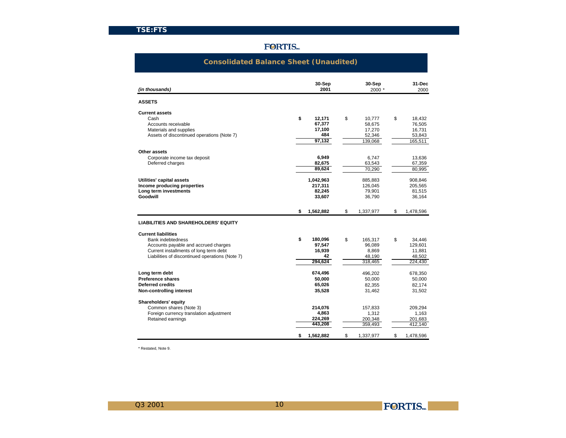## **FORTIS**

## **Consolidated Balance Sheet (Unaudited)**

| (in thousands)                                                                                                                                                                       | 30-Sep<br>2001                                     | 30-Sep<br>2000 *                                      | 31-Dec<br>2000                                         |
|--------------------------------------------------------------------------------------------------------------------------------------------------------------------------------------|----------------------------------------------------|-------------------------------------------------------|--------------------------------------------------------|
| <b>ASSETS</b>                                                                                                                                                                        |                                                    |                                                       |                                                        |
| <b>Current assets</b><br>Cash<br>Accounts receivable<br>Materials and supplies<br>Assets of discontinued operations (Note 7)                                                         | \$<br>12.171<br>67,377<br>17,100<br>484<br>97.132  | \$<br>10.777<br>58,675<br>17,270<br>52,346<br>139,068 | \$<br>18,432<br>76,505<br>16,731<br>53,843<br>165,511  |
| Other assets<br>Corporate income tax deposit<br>Deferred charges                                                                                                                     | 6,949<br>82,675<br>89.624                          | 6.747<br>63,543<br>70,290                             | 13,636<br>67,359<br>80,995                             |
| Utilities' capital assets<br>Income producing properties<br>Long term investments<br>Goodwill                                                                                        | 1,042,963<br>217,311<br>82,245<br>33,607           | 885,883<br>126.045<br>79,901<br>36,790                | 908,846<br>205.565<br>81,515<br>36,164                 |
|                                                                                                                                                                                      | \$<br>1,562,882                                    | \$<br>1.337.977                                       | \$<br>1,478,596                                        |
| <b>LIABILITIES AND SHAREHOLDERS' EQUITY</b>                                                                                                                                          |                                                    |                                                       |                                                        |
| <b>Current liabilities</b><br>Bank indebtedness<br>Accounts payable and accrued charges<br>Current installments of long term debt<br>Liabilities of discontinued operations (Note 7) | \$<br>180,096<br>97,547<br>16,939<br>42<br>294,624 | \$<br>165,317<br>96,089<br>8,869<br>48,190<br>318,465 | \$<br>34,446<br>129,601<br>11,881<br>48,502<br>224,430 |
| Long term debt<br><b>Preference shares</b><br><b>Deferred credits</b><br>Non-controlling interest                                                                                    | 674,496<br>50,000<br>65,026<br>35,528              | 496,202<br>50,000<br>82,355<br>31,462                 | 678,350<br>50,000<br>82,174<br>31,502                  |
| Shareholders' equity<br>Common shares (Note 3)<br>Foreign currency translation adjustment<br>Retained earnings                                                                       | 214,076<br>4,863<br>224,269<br>443.208             | 157,833<br>1,312<br>200,348<br>359,493                | 209,294<br>1,163<br>201,683<br>412,140                 |
|                                                                                                                                                                                      | \$<br>1,562,882                                    | \$<br>1,337,977                                       | \$<br>1,478,596                                        |

\* Restated, Note 9.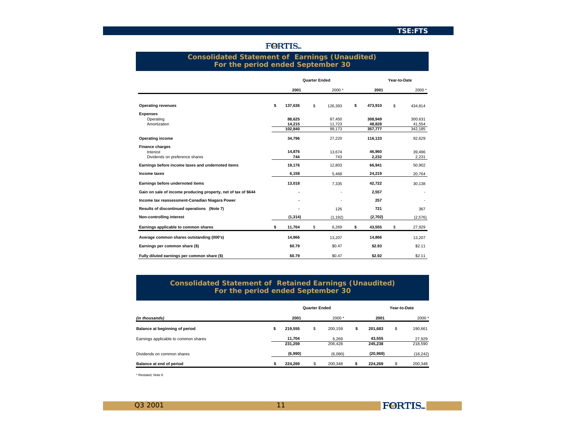| rui une period endeu beptember ov                              |               |                      |          |               |              |         |
|----------------------------------------------------------------|---------------|----------------------|----------|---------------|--------------|---------|
|                                                                |               | <b>Quarter Ended</b> |          |               | Year-to-Date |         |
|                                                                | 2001          |                      | 2000*    | 2001          |              | 2000 *  |
| <b>Operating revenues</b>                                      | \$<br>137,636 | \$                   | 126,393  | \$<br>473,910 | \$           | 434,814 |
| <b>Expenses</b>                                                |               |                      |          |               |              |         |
| Operating                                                      | 88,625        |                      | 87,450   | 308,949       |              | 300,631 |
| Amortization                                                   | 14.215        |                      | 11,723   | 48.828        |              | 41,554  |
|                                                                | 102,840       |                      | 99,173   | 357,777       |              | 342,185 |
| <b>Operating income</b>                                        | 34,796        |                      | 27,220   | 116,133       |              | 92,629  |
| <b>Finance charges</b>                                         |               |                      |          |               |              |         |
| Interest                                                       | 14.876        |                      | 13.674   | 46,960        |              | 39,496  |
| Dividends on preference shares                                 | 744           |                      | 743      | 2,232         |              | 2,231   |
| Earnings before income taxes and undernoted items              | 19,176        |                      | 12,803   | 66,941        |              | 50,902  |
| Income taxes                                                   | 6,158         |                      | 5,468    | 24,219        |              | 20,764  |
| Earnings before undernoted items                               | 13,018        |                      | 7,335    | 42,722        |              | 30,138  |
| Gain on sale of income producing property, net of tax of \$644 |               |                      |          | 2,557         |              |         |
| Income tax reassessment-Canadian Niagara Power                 |               |                      |          | 257           |              |         |
| Results of discontinued operations (Note 7)                    |               |                      | 126      | 721           |              | 367     |
| Non-controlling interest                                       | (1, 314)      |                      | (1, 192) | (2,702)       |              | (2,576) |
| Earnings applicable to common shares                           | \$<br>11,704  | \$                   | 6,269    | \$<br>43,555  | \$           | 27,929  |
| Average common shares outstanding (000's)                      | 14,866        |                      | 13,207   | 14,866        |              | 13,207  |
| Earnings per common share (\$)                                 | \$0.79        |                      | \$0.47   | \$2.93        |              | \$2.11  |
| Fully diluted earnings per common share (\$)                   | \$0.79        |                      | \$0.47   | \$2.92        |              | \$2.11  |

## **FORTIS**

## **Consolidated Statement of Earnings (Unaudited) For the period ended September 30**

## **Consolidated Statement of Retained Earnings (Unaudited) For the period ended September 30**

|                                      |   |                   | <b>Quarter Ended</b> |                  |                   | Year-to-Date |                   |
|--------------------------------------|---|-------------------|----------------------|------------------|-------------------|--------------|-------------------|
| (in thousands)                       |   | 2001              |                      | $2000*$          | 2001              |              | 2000*             |
| Balance at beginning of period       | s | 219.555           | S                    | 200.159          | \$<br>201.683     | \$           | 190.661           |
| Earnings applicable to common shares |   | 11.704<br>231.259 |                      | 6.269<br>206.428 | 43.555<br>245.238 |              | 27,929<br>218,590 |
| Dividends on common shares           |   | (6,990)           |                      | (6,080)          | (20, 969)         |              | (18, 242)         |
| Balance at end of period             |   | 224.269           |                      | 200.348          | 224.269           | S            | 200,348           |

\* Restated, Note 9.

11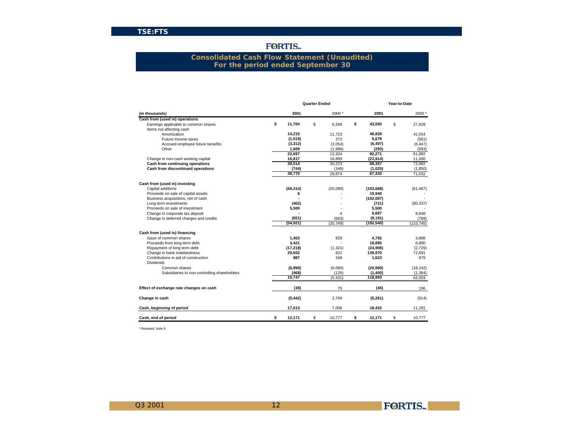## **FORTIS**

## **Consolidated Cash Flow Statement (Unaudited) For the period ended September 30**

|                                              |              | <b>Quarter Ended</b> |           |              | Year-to-Date |            |
|----------------------------------------------|--------------|----------------------|-----------|--------------|--------------|------------|
| (in thousands)                               | 2001         |                      | 2000*     | 2001         |              | 2000*      |
| Cash from (used in) operations               |              |                      |           |              |              |            |
| Earnings applicable to common shares         | \$<br>11,704 | \$                   | 6,269     | \$<br>43,555 | \$           | 27,929     |
| Items not affecting cash                     |              |                      |           |              |              |            |
| Amortization                                 | 14,215       |                      | 11,723    | 48,828       |              | 41,554     |
| Future income taxes                          | (1,519)      |                      | 372       | 6,678        |              | (561)      |
| Accrued employee future benefits             | (3, 312)     |                      | (3,054)   | (6, 497)     |              | (6, 447)   |
| Other                                        | 1,609        |                      | (1,986)   | (293)        |              | (593)      |
|                                              | 22,697       |                      | 13,324    | 92,271       |              | 61.882     |
| Change in non-cash working capital           | 16,817       |                      | 16,899    | (23, 914)    |              | 11,000     |
| Cash from continuing operations              | 39,514       |                      | 30,223    | 68,357       |              | 72.882     |
| Cash from discontinued operations            | (744)        |                      | (349)     | (1,025)      |              | (1,850)    |
|                                              | 38,770       |                      | 29,874    | 67,332       |              | 71,032     |
| Cash from (used in) investing                |              |                      |           |              |              |            |
| Capital additions                            | (59, 314)    |                      | (20,090)  | (103, 668)   |              | (61, 467)  |
| Proceeds on sale of capital assets           | 6            |                      |           | 10,940       |              |            |
| Business acquisitions, net of cash           |              |                      |           | (102, 087)   |              |            |
| Long term investments                        | (462)        |                      |           | (721)        |              | (80, 337)  |
| Proceeds on sale of investment               | 5,500        |                      |           | 5,500        |              |            |
| Change in corporate tax deposit              |              |                      | 4         | 6,687        |              | 8,848      |
| Change in deferred charges and credits       | (651)        |                      | (663)     | (9, 191)     |              | (789)      |
|                                              | (54, 921)    |                      | (20, 749) | (192, 540)   |              | (133, 745) |
| Cash from (used in) financing                |              |                      |           |              |              |            |
| Issue of common shares                       | 1.463        |                      | 929       | 4.782        |              | 3,888      |
| Proceeds from long term debt                 | 3,421        |                      |           | 19.895       |              | 6,800      |
| Repayment of long term debt                  | (17, 218)    |                      | (1, 321)  | (24, 908)    |              | (2,729)    |
| Change in bank indebtedness                  | 29,652       |                      | 822       | 139,970      |              | 72,691     |
| Contributions in aid of construction         | 887          |                      | 348       | 1,623        |              | 979        |
| <b>Dividends</b>                             |              |                      |           |              |              |            |
| Common shares                                | (6,990)      |                      | (6,080)   | (20, 969)    |              | (18, 242)  |
| Subsidiaries to non-controlling shareholders | (468)        |                      | (129)     | (1,400)      |              | (1, 384)   |
|                                              | 10,747       |                      | (5, 431)  | 118,993      |              | 62,003     |
| Effect of exchange rate changes on cash      | (38)         |                      | 75        | (46)         |              | 196        |
| Change in cash                               | (5, 442)     |                      | 3,769     | (6, 261)     |              | (514)      |
| Cash, beginning of period                    | 17,613       |                      | 7,008     | 18,432       |              | 11,291     |
| Cash, end of period                          | \$<br>12,171 | \$                   | 10,777    | \$<br>12,171 | \$           | 10,777     |

12

\* Restated, Note 9.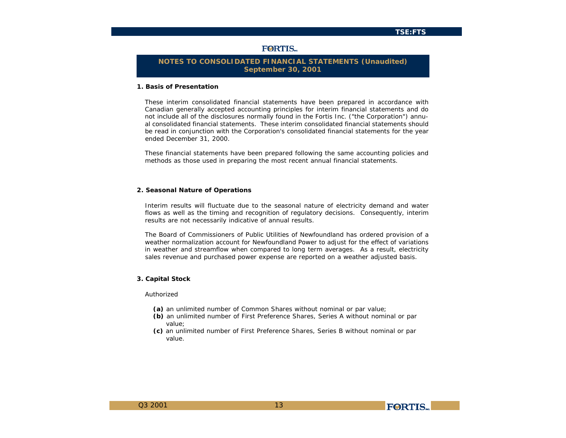## **FORTIS**

## **NOTES TO CONSOLIDATED FINANCIAL STATEMENTS (Unaudited) September 30, 2001**

### **1. Basis of Presentation**

These interim consolidated financial statements have been prepared in accordance with Canadian generally accepted accounting principles for interim financial statements and do not include all of the disclosures normally found in the Fortis Inc. ("the Corporation") annual consolidated financial statements. These interim consolidated financial statements should be read in conjunction with the Corporation's consolidated financial statements for the year ended December 31, 2000.

These financial statements have been prepared following the same accounting policies and methods as those used in preparing the most recent annual financial statements.

#### **2. Seasonal Nature of Operations**

Interim results will fluctuate due to the seasonal nature of electricity demand and water flows as well as the timing and recognition of regulatory decisions. Consequently, interim results are not necessarily indicative of annual results.

The Board of Commissioners of Public Utilities of Newfoundland has ordered provision of a weather normalization account for Newfoundland Power to adjust for the effect of variations in weather and streamflow when compared to long term averages. As a result, electricity sales revenue and purchased power expense are reported on a weather adjusted basis.

#### **3. Capital Stock**

#### Authorized

- **(a)** an unlimited number of Common Shares without nominal or par value;
- **(b)** an unlimited number of First Preference Shares, Series A without nominal or par value;
- **(c)** an unlimited number of First Preference Shares, Series B without nominal or par value.

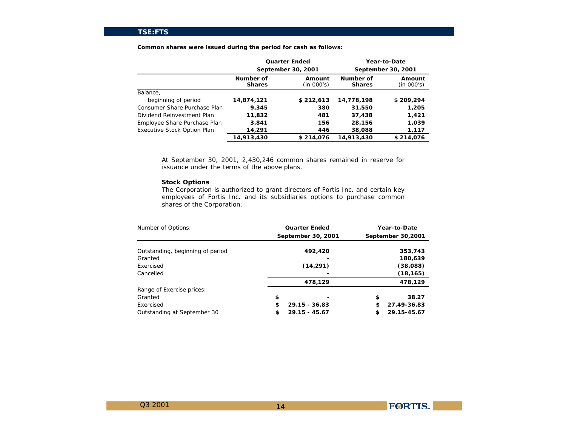|                                    |                            | <b>Quarter Ended</b>      |                            | <b>Year-to-Date</b>       |
|------------------------------------|----------------------------|---------------------------|----------------------------|---------------------------|
|                                    |                            | <b>September 30, 2001</b> |                            | <b>September 30, 2001</b> |
|                                    | Number of<br><b>Shares</b> | Amount<br>(in 000's)      | Number of<br><b>Shares</b> | Amount<br>(in 000's)      |
| Balance,                           |                            |                           |                            |                           |
| beginning of period                | 14,874,121                 | \$212.613                 | 14,778,198                 | \$209,294                 |
| Consumer Share Purchase Plan       | 9,345                      | 380                       | 31,550                     | 1,205                     |
| Dividend Reinvestment Plan         | 11,832                     | 481                       | 37.438                     | 1,421                     |
| Employee Share Purchase Plan       | 3,841                      | 156                       | 28,156                     | 1,039                     |
| <b>Executive Stock Option Plan</b> | 14,291                     | 446                       | 38,088                     | 1,117                     |
|                                    | 14,913,430                 | \$214,076                 | 14.913.430                 | \$214,076                 |

**Common shares were issued during the period for cash as follows:**

At September 30, 2001, 2,430,246 common shares remained in reserve for issuance under the terms of the above plans.

## **Stock Options**

The Corporation is authorized to grant directors of Fortis Inc. and certain key employees of Fortis Inc. and its subsidiaries options to purchase common shares of the Corporation.

| Number of Options:               |   | <b>Quarter Ended</b>      |   | <b>Year-to-Date</b> |
|----------------------------------|---|---------------------------|---|---------------------|
|                                  |   | <b>September 30, 2001</b> |   | September 30,2001   |
| Outstanding, beginning of period |   | 492,420                   |   | 353.743             |
| Granted                          |   |                           |   | 180,639             |
| Exercised                        |   | (14,291)                  |   | (38,088)            |
| Cancelled                        |   |                           |   | (18, 165)           |
|                                  |   | 478,129                   |   | 478.129             |
| Range of Exercise prices:        |   |                           |   |                     |
| Granted                          | s |                           | s | 38.27               |
| Exercised                        | s | 29.15 - 36.83             | s | 27.49-36.83         |
| Outstanding at September 30      | s | $29.15 - 45.67$           | s | 29.15-45.67         |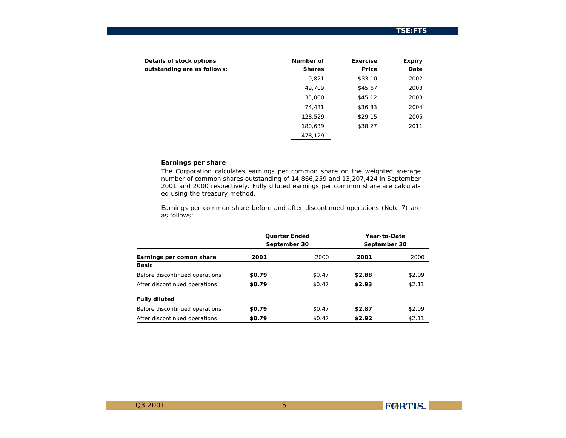| <b>Details of stock options</b><br>outstanding are as follows: | Number of<br><b>Shares</b> | <b>Exercise</b><br>Price | <b>Expiry</b><br><b>Date</b> |
|----------------------------------------------------------------|----------------------------|--------------------------|------------------------------|
|                                                                | 9,821                      | \$33.10                  | 2002                         |
|                                                                | 49,709                     | \$45.67                  | 2003                         |
|                                                                | 35,000                     | \$45.12                  | 2003                         |
|                                                                | 74,431                     | \$36.83                  | 2004                         |
|                                                                | 128,529                    | \$29.15                  | 2005                         |
|                                                                | 180,639                    | \$38.27                  | 2011                         |
|                                                                | 478,129                    |                          |                              |

## **Earnings per share**

The Corporation calculates earnings per common share on the weighted average number of common shares outstanding of 14,866,259 and 13,207,424 in September 2001 and 2000 respectively. Fully diluted earnings per common share are calculated using the treasury method.

Earnings per common share before and after discontinued operations (Note 7) are as follows:

|                                | <b>Quarter Ended</b><br><b>September 30</b> |                   | <b>Year-to-Date</b><br>September 30 |                   |
|--------------------------------|---------------------------------------------|-------------------|-------------------------------------|-------------------|
| Earnings per comon share       | 2001                                        | 2000              | 2001                                | 2000              |
| <b>Basic</b>                   |                                             |                   |                                     |                   |
| Before discontinued operations | \$0.79                                      | S <sub>0.47</sub> | \$2.88                              | <b>S2.09</b>      |
| After discontinued operations  | \$0.79                                      | S <sub>0.47</sub> | \$2.93                              | S <sub>2.11</sub> |
| <b>Fully diluted</b>           |                                             |                   |                                     |                   |
| Before discontinued operations | <b>SO.79</b>                                | <b>SO.47</b>      | \$2.87                              | <b>S2.09</b>      |
| After discontinued operations  | <b>SO.79</b>                                | \$0.47            | \$2.92                              | S <sub>2.11</sub> |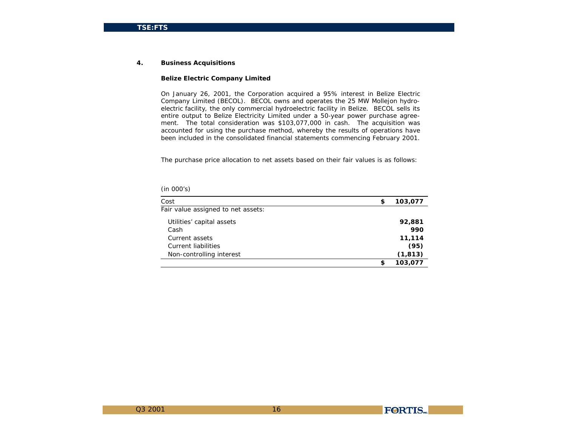#### **4. Business Acquisitions**

### **Belize Electric Company Limited**

On January 26, 2001, the Corporation acquired a 95% interest in Belize Electric Company Limited (BECOL). BECOL owns and operates the 25 MW Mollejon hydroelectric facility, the only commercial hydroelectric facility in Belize. BECOL sells its entire output to Belize Electricity Limited under a 50-year power purchase agreement. The total consideration was \$103,077,000 in cash. The acquisition was accounted for using the purchase method, whereby the results of operations have been included in the consolidated financial statements commencing February 2001.

The purchase price allocation to net assets based on their fair values is as follows:

| Cost                               | S | 103,077  |
|------------------------------------|---|----------|
| Fair value assigned to net assets: |   |          |
| Utilities' capital assets          |   | 92,881   |
| Cash                               |   | 990      |
| Current assets                     |   | 11,114   |
| Current liabilities                |   | (95)     |
| Non-controlling interest           |   | (1, 813) |
|                                    | s | 103.077  |

*(in 000's)*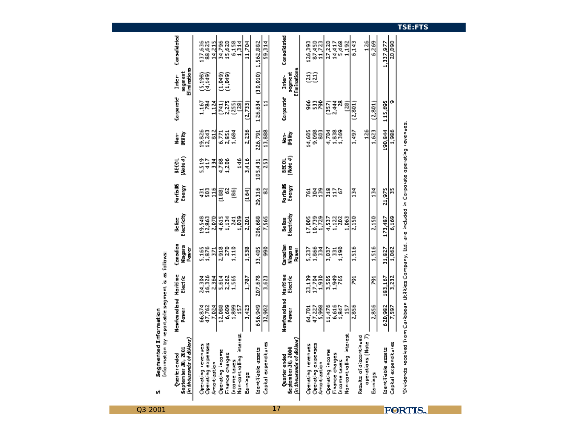| (nío:mation by reportable segment is as follows:<br>Segmented Information<br>เก๋                       |                                 |                           |                                           |                                |                             |                          |                                   |                           |                                          |                                     |
|--------------------------------------------------------------------------------------------------------|---------------------------------|---------------------------|-------------------------------------------|--------------------------------|-----------------------------|--------------------------|-----------------------------------|---------------------------|------------------------------------------|-------------------------------------|
| (in thousands of dollars)<br>September 30, 2001<br>Quarterended                                        | Newfound bind Haritime<br>Poner | Electric                  | Canadian<br>Magara<br>Paner               | Electricity<br>Be face         | <b>Rantiallis</b><br>Energy | (Mote4)<br><b>BEKOL</b>  | 明市<br>Nan-                        | Corporate                 | Eliminatiana<br><b>segment</b><br>Inter- | Consolidated                        |
| Operating expenses<br>Detroiting revenues<br><b>Amartization</b>                                       | 47,762<br>66,874<br>7,024       | 16,326<br>24,3M<br>2,364  | 5,165<br>1,876<br>E.                      | 19,548<br>12,863<br>2,070      | $\frac{6}{116}$<br>g<br>ã   | 5,519<br>Ģ<br>픘          | 19,826<br>12,243<br>$\frac{2}{3}$ | Ř<br>1,167<br>즩           | (5,199)<br>U.149)                        | 137,636<br>88,625<br>14,215         |
| Dperating income<br>Finance chaiges<br>Income taxes                                                    | 6,609<br>12,088                 | 5,614<br>2,262<br>1,565   | R <sub>2</sub><br>110<br>2,918            | 4,615<br>1,134<br>31           | S,<br>මූ<br>33              | 1,206<br>4,768           | 2,851<br>1,694<br>6,771           | 2,275<br>$\frac{1}{2}$    | esa<br>El<br>El                          | 34,796<br>15,620                    |
| Nan-cant ralling interest<br>Earnings                                                                  | 1,899<br>3,423                  | 1,787                     | 1,538                                     | 1,039<br>2,2D1                 | (164)                       | 146<br>3,416             | 2,236                             | 68<br>19<br>(2,733)       |                                          | 6,154<br>1,114<br>11,7M             |
| Capital expenditures<br><b>Identifiable assets</b>                                                     | 656,949<br>32,902               | 207,678<br>3,623          | ŝ<br>33,405                               | 206,698<br>7,565               | 29,316<br>덣                 | 105,431<br>253           | 226,791<br>13,888                 | 126,634<br>$\mathbf{1}$   | (30, 010)                                | 1,562,882<br>59.314                 |
| (in thousands of dollars)<br>September 30, 2000<br>Quarter ended                                       | Newfoundland<br>Ĭ               | Haritime<br>Electric      | Canadian<br><b>Riaga</b> ra<br>ia<br>Kuna | Electricity<br>n<br>Se list    | kartia US<br>Energy         | (Mote 4)<br><b>BECOL</b> | 螧                                 | Corporate                 | Eliminations<br>segment<br>Inter-        | Consolidated                        |
| Operating expenses<br>Amartization<br>Operating revenues                                               | $47,227$<br>5,998<br>64,701     | 23,139<br>17,788<br>1.930 | 1,866<br>1,814<br>5,237                   | 10,739<br>1,729<br>17,005      | Ãã<br>g                     |                          | 14,605<br>85<br>85                | 8<br>8ĝ                   | ສຼືສົ                                    | 87,450<br>11,723<br>126,393         |
| Nan-cantialling interest<br>Operating income<br>Finance chaiges<br>Income taxes                        | 6,615<br>1,847<br>11,476<br>ğ   | 1,949<br>3,505<br>ě       | 3,037<br>å<br>E                           | 4,537<br>1,122<br>202<br>1,063 | $\frac{1}{2}$<br>318        |                          | 1,838<br>1,369<br>4.7M            | 2,444<br>8<br>ඹු<br>ន្ទ្រ |                                          | 27.213<br>27.413<br>27.413<br>1,192 |
| aperations (Nate 7)<br>Results of discontinued<br>Eamings                                              | 2,856<br>2,856                  | ğ<br>ğ                    | 1,516<br>1,516                            | 2,150<br>2,150                 | ă<br>134                    |                          | 126<br>1,497<br>1,623             | (2,801)<br>(2,801)        |                                          | 126<br>6,269<br>6,143               |
| Capital expenditures<br>ldentifiable assets                                                            | 620,982<br>7,597                | 183,167<br>3,232          | 31,827<br>1,062                           | 173,487<br>6,169               | 21,975<br>я                 |                          | 190,844<br>1,986                  | o<br>115,695              |                                          | 20,090<br>1,337,977                 |
| Dividends received from Caribbean Utilities Company, Bd. are included in Corporate operating revenues. |                                 |                           |                                           |                                |                             |                          |                                   |                           |                                          |                                     |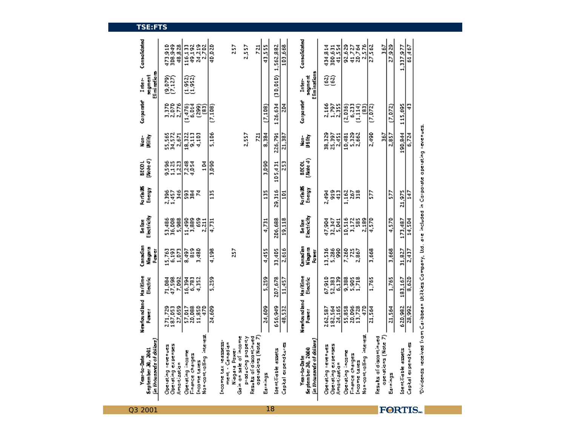| in thousands of dolars)<br>September 30, 2001<br><b>Year-to-Date</b>                                   | Newfound bind<br>Pomer            | Haritime<br>Electric      | Canadian<br>Magara<br>Pawer          | Electricity<br>Be face        | <b>Rantiallis</b><br>Energy | (Mote4)<br><b>BEKOL</b>  | Ukility.<br>Nan-          | Corporate                        | Eliminatians<br><b>regiment</b><br>Inter- | Consolidated                         |
|--------------------------------------------------------------------------------------------------------|-----------------------------------|---------------------------|--------------------------------------|-------------------------------|-----------------------------|--------------------------|---------------------------|----------------------------------|-------------------------------------------|--------------------------------------|
| Operating expenses<br>Operating revenues<br>Amartizatian                                               | 271,729<br>187,053<br>27,659      | 71,898<br>47,598<br>7,092 | 6,193<br>15,763<br>1,073             | 53,486<br>36,008<br>5,988     | 2,396<br>1,457<br>å         | 9535<br>312<br>1,223     | 55,565<br>34,572<br>2,671 | 1,370<br>2,870<br>2,776          | 0.079)<br>0.127)                          | 473,949<br>308,849<br>48,828         |
| Nan-aant ralling interest<br>Operating income<br>Finance chaiges<br>income taxes                       | 20,098<br>11,850<br>57,017<br>470 | 6,783<br>4,352<br>16,394  | å<br>3,480<br>8,497                  | ŝ<br>11,490<br>1,889<br>2,211 | ន្តិខ្ព<br>Κ                | 7283<br>104              | 18,322<br>9,113<br>4,103  | $(1,476)$<br>6.014<br>(289)<br>3 | ನ್ನಡ<br>ರತ್ನ                              | 24,219<br>116,133<br>49,192<br>2,702 |
|                                                                                                        | 24,609                            | 5,259                     | 4,198                                | 4,731                         | Ë                           | 3,090                    | 5,106                     | (7,108)                          |                                           | 40,020                               |
| Gain on sale of income<br>Income tax reassess<br>ment - Canadian<br>Niegere Power                      |                                   |                           | 57                                   |                               |                             |                          |                           |                                  |                                           | 257                                  |
| Results of discontinued<br>aperations (Note 7)<br>Kinston Bugalland                                    |                                   |                           |                                      |                               |                             |                          | 2,557<br>721              |                                  |                                           | 2,557<br>$\overline{z}$              |
| Earnings                                                                                               | 24,609                            | 5,259                     | 4,455                                | 4,731                         | ä                           | 3.090                    | 8.384                     | (7, 108)                         |                                           | 43,555                               |
| Identifiable assets                                                                                    | 656,949                           | 207,678                   | 33,405                               | 206,699                       | 29,316                      | 105,431                  | 226,791                   | 126,634                          | (30,010)                                  | 1,562,882                            |
| Capital expenditures                                                                                   | 48,532                            | 11,457                    | 2,616                                | 19,118                        | ğ                           | 53                       | 21,387                    | 녌                                |                                           | 103,668                              |
|                                                                                                        |                                   |                           |                                      |                               |                             |                          |                           |                                  |                                           |                                      |
| (in thousands of dollars)<br>September 30, 2000<br><b>Year-to-Date</b>                                 | Newfound bind<br>Power            | Haritime<br>Electric      | Canadian<br>Nisyara<br>ia<br>Kabupat | Electricity<br>Be lies        | <b>Rartis US</b><br>Energy  | (Mote 4)<br><b>BECOL</b> | 雪<br>i<br>F               | Corporate                        | Eliminatians<br>sagment<br>Inter-         | Consolidated                         |
| Operating revenues                                                                                     | 262,587                           | 67,910                    | 13,536                               | 47,984                        | 2,494                       |                          | 38,329                    | 2,166                            | මුමු                                      | 434,814                              |
| Operating expenses<br>Amartization                                                                     | 182,564<br>24,165                 | 52,383<br>6.139           | 5,286<br>ŝ                           | 32,347<br>5,041               | å<br>ą                      |                          | 25,397<br>2,451           | $\frac{1}{2}$ , 797              |                                           | 41,554<br>300,631                    |
| Operating income                                                                                       | 55,858                            | 9,388                     | 7,260                                | 10,516                        | 1,162                       |                          | 10,481                    | (2,0.5)                          |                                           | 92,629                               |
| Finance chaiges                                                                                        | 20,096<br>13,728                  | 5,363                     | 7257                                 | 3,172<br>ă                    | 22                          |                          | 5,323                     | 6,233                            |                                           | 41,727<br>20,764                     |
| Nan-cant ralling interest<br>Income taxes                                                              | Ş                                 |                           |                                      | 2,189                         |                             |                          |                           | 1,114)<br>ඕ                      |                                           | 2,576                                |
|                                                                                                        | 21,564                            | 1,765                     | 3,668                                | 4,570                         | ₿                           |                          | 2,490                     | (7.072)                          |                                           | 27,562                               |
| aperations (Note 7)<br>Results of discontinued                                                         |                                   |                           |                                      |                               |                             |                          | 367                       |                                  |                                           | 367                                  |
| Earnings                                                                                               | 21,564                            | 1,765                     | 3,668                                | 4,570                         | B                           |                          | 2,857                     | (7, 072)                         |                                           | 27,929                               |
| Identifiable assets                                                                                    | 620,982                           | 183,167                   | 31,827                               | 173,487                       | 21,975                      |                          | 190.844                   | 115,695                          |                                           | 1,337,977                            |
| Capital expenditures                                                                                   | 28,992                            | 3,620                     | 2,437                                | 14,5M                         | 247                         |                          | 6,724                     | Ş                                |                                           | 61,467                               |
| Dividends received from Caribbean Utilities Company, Dd. are included in Corporate operating revenues. |                                   |                           |                                      |                               |                             |                          |                           |                                  |                                           |                                      |

18

# Q3 2001

**TSE:FTS**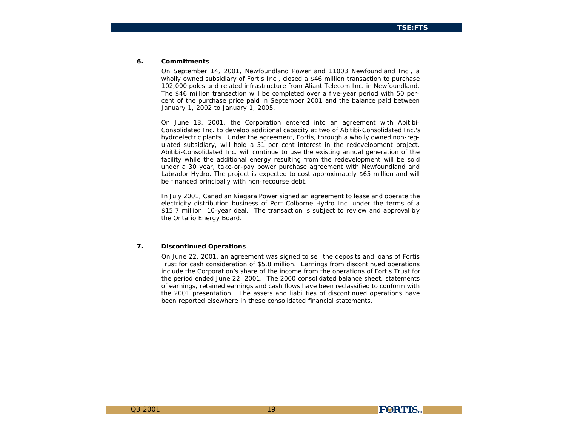#### **6. Commitments**

On September 14, 2001, Newfoundland Power and 11003 Newfoundland Inc., a wholly owned subsidiary of Fortis Inc., closed a \$46 million transaction to purchase 102,000 poles and related infrastructure from Aliant Telecom Inc. in Newfoundland. The \$46 million transaction will be completed over a five-year period with 50 percent of the purchase price paid in September 2001 and the balance paid between January 1, 2002 to January 1, 2005.

On June 13, 2001, the Corporation entered into an agreement with Abitibi-Consolidated Inc. to develop additional capacity at two of Abitibi-Consolidated Inc.'s hydroelectric plants. Under the agreement, Fortis, through a wholly owned non-regulated subsidiary, will hold a 51 per cent interest in the redevelopment project. Abitibi-Consolidated Inc. will continue to use the existing annual generation of the facility while the additional energy resulting from the redevelopment will be sold under a 30 year, take-or-pay power purchase agreement with Newfoundland and Labrador Hydro. The project is expected to cost approximately \$65 million and will be financed principally with non-recourse debt.

In July 2001, Canadian Niagara Power signed an agreement to lease and operate the electricity distribution business of Port Colborne Hydro Inc. under the terms of a \$15.7 million, 10-year deal. The transaction is subject to review and approval by the Ontario Energy Board.

### **7. Discontinued Operations**

On June 22, 2001, an agreement was signed to sell the deposits and loans of Fortis Trust for cash consideration of \$5.8 million. Earnings from discontinued operations include the Corporation's share of the income from the operations of Fortis Trust for the period ended June 22, 2001. The 2000 consolidated balance sheet, statements of earnings, retained earnings and cash flows have been reclassified to conform with the 2001 presentation. The assets and liabilities of discontinued operations have been reported elsewhere in these consolidated financial statements.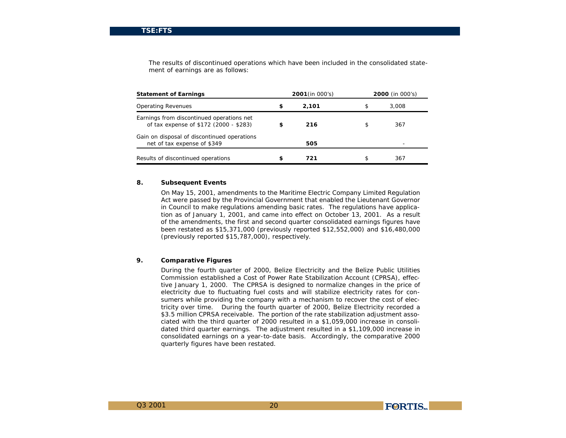The results of discontinued operations which have been included in the consolidated statement of earnings are as follows:

| <b>Statement of Earnings</b>                                                        |   | <b>2001</b> (in $000's$ ) |   | <b>2000</b> (in $000's$ ) |
|-------------------------------------------------------------------------------------|---|---------------------------|---|---------------------------|
| <b>Operating Revenues</b>                                                           | s | 2.101                     | S | 3.008                     |
| Earnings from discontinued operations net<br>of tax expense of \$172 (2000 - \$283) | s | 216                       | S | 367                       |
| Gain on disposal of discontinued operations<br>net of tax expense of \$349          |   | 505                       |   |                           |
| Results of discontinued operations                                                  | s | 721                       |   | 367                       |

## **8. Subsequent Events**

On May 15, 2001, amendments to the Maritime Electric Company Limited Regulation Act were passed by the Provincial Government that enabled the Lieutenant Governor in Council to make regulations amending basic rates. The regulations have application as of January 1, 2001, and came into effect on October 13, 2001. As a result of the amendments, the first and second quarter consolidated earnings figures have been restated as \$15,371,000 (previously reported \$12,552,000) and \$16,480,000 (previously reported \$15,787,000), respectively.

## **9. Comparative Figures**

During the fourth quarter of 2000, Belize Electricity and the Belize Public Utilities Commission established a Cost of Power Rate Stabilization Account (CPRSA), effective January 1, 2000. The CPRSA is designed to normalize changes in the price of electricity due to fluctuating fuel costs and will stabilize electricity rates for consumers while providing the company with a mechanism to recover the cost of electricity over time. During the fourth quarter of 2000, Belize Electricity recorded a \$3.5 million CPRSA receivable. The portion of the rate stabilization adjustment associated with the third quarter of 2000 resulted in a \$1,059,000 increase in consolidated third quarter earnings. The adjustment resulted in a \$1,109,000 increase in consolidated earnings on a year-to-date basis. Accordingly, the comparative 2000 quarterly figures have been restated.